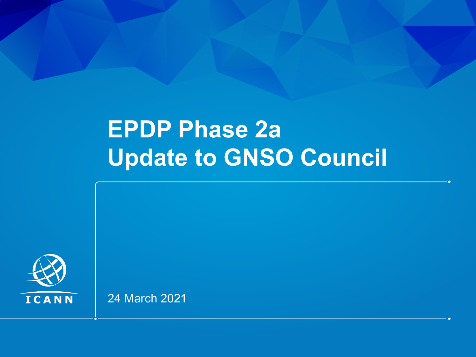# **EPDP Phase 2a Update to GNSO Council**



24 March 2021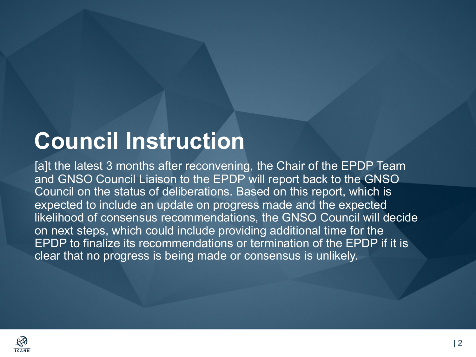# **Council Instruction**

[a]t the latest 3 months after reconvening, the Chair of the EPDP Team and GNSO Council Liaison to the EPDP will report back to the GNSO Council on the status of deliberations. Based on this report, which is expected to include an update on progress made and the expected likelihood of consensus recommendations, the GNSO Council will decide on next steps, which could include providing additional time for the EPDP to finalize its recommendations or termination of the EPDP if it is clear that no progress is being made or consensus is unlikely.

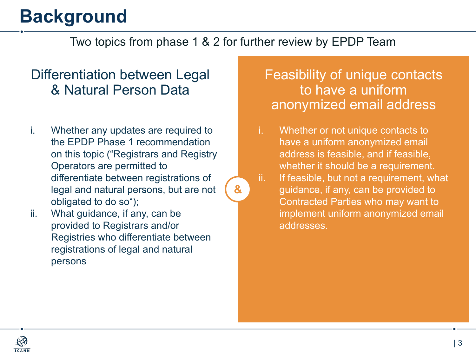## **Background**

### Two topics from phase 1 & 2 for further review by EPDP Team

**&**

### Differentiation between Legal & Natural Person Data

- i. Whether any updates are required to the EPDP Phase 1 recommendation on this topic ("Registrars and Registry Operators are permitted to differentiate between registrations of legal and natural persons, but are not obligated to do so");
- ii. What guidance, if any, can be provided to Registrars and/or Registries who differentiate between registrations of legal and natural persons

### Feasibility of unique contacts to have a uniform anonymized email address

- i. Whether or not unique contacts to have a uniform anonymized email address is feasible, and if feasible, whether it should be a requirement.
- ii. If feasible, but not a requirement, what guidance, if any, can be provided to Contracted Parties who may want to implement uniform anonymized email addresses.

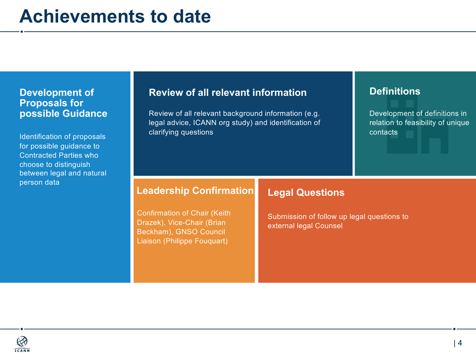#### **Development of Proposals for possible Guidance**

Identification of proposals for possible guidance to Contracted Parties who choose to distinguish between legal and natural person data

#### **Review of all relevant information**

Review of all relevant background information (e.g. legal advice, ICANN org study) and identification of clarifying questions

#### **Definitions**

Development of definitions in relation to feasibility of unique contacts

#### **Leadership Confirmation**

Confirmation of Chair (Keith Drazek), Vice-Chair (Brian Beckham), GNSO Council Liaison (Philippe Fouquart)

**Legal Questions**

Submission of follow up legal questions to external legal Counsel

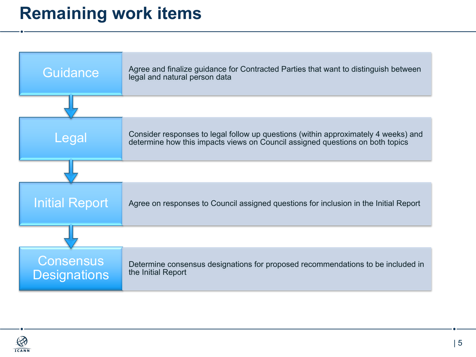## **Remaining work items**



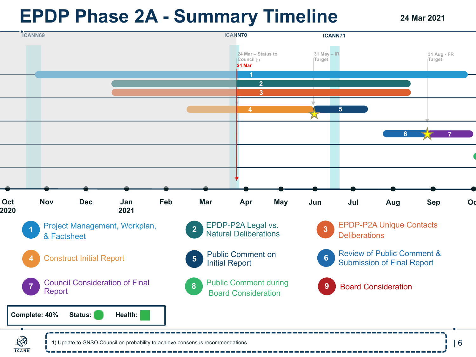## **EPDP Phase 2A - Summary Timeline**

**24 Mar 2021**



1) Update to GNSO Council on probability to achieve consensus recommendations

**ICANN**